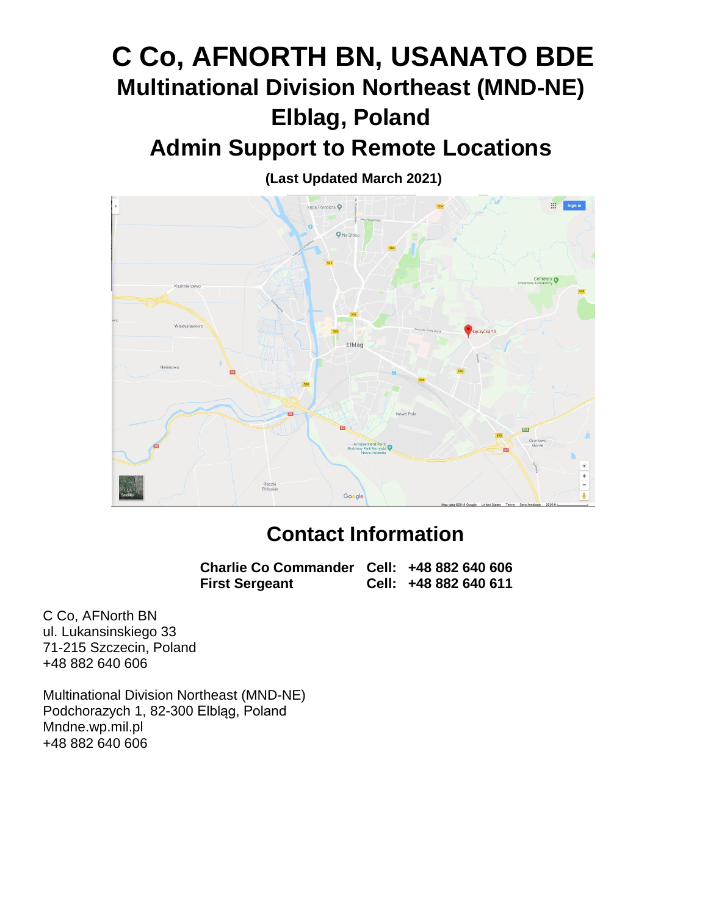# **C Co, AFNORTH BN, USANATO BDE Multinational Division Northeast (MND-NE) Elblag, Poland Admin Support to Remote Locations**

**(Last Updated March 2021)**



# **Contact Information**

**Charlie Co Commander Cell: +48 882 640 606 First Sergeant Cell: +48 882 640 611**

C Co, AFNorth BN ul. Lukansinskiego 33 71-215 Szczecin, Poland +48 882 640 606

Multinational Division Northeast (MND-NE) Podchorazych 1, 82-300 Elbląg, Poland Mndne.wp.mil.pl +48 882 640 606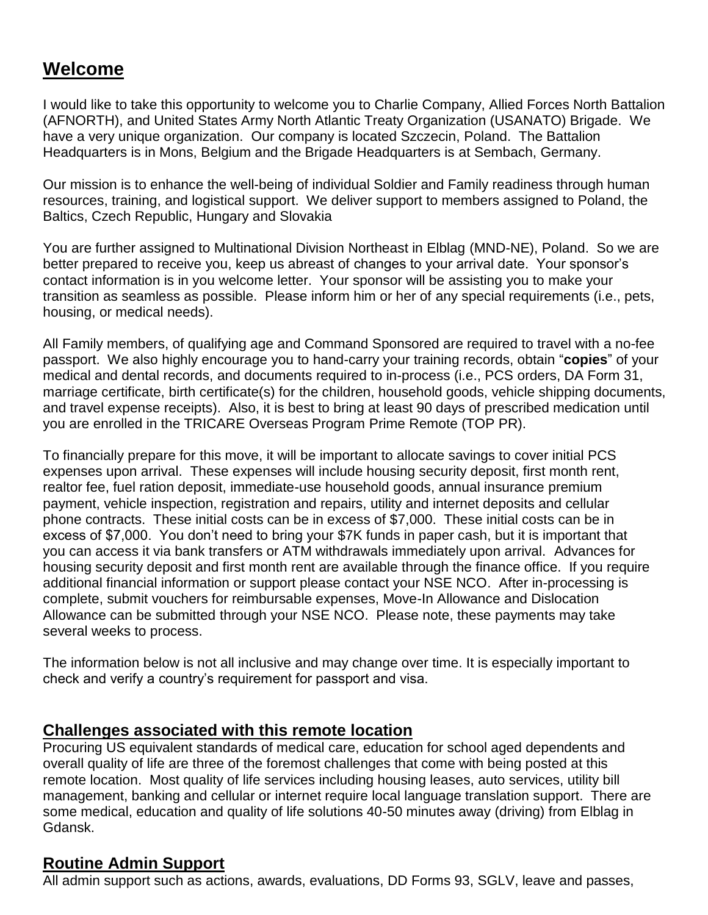# **Welcome**

I would like to take this opportunity to welcome you to Charlie Company, Allied Forces North Battalion (AFNORTH), and United States Army North Atlantic Treaty Organization (USANATO) Brigade. We have a very unique organization. Our company is located Szczecin, Poland. The Battalion Headquarters is in Mons, Belgium and the Brigade Headquarters is at Sembach, Germany.

Our mission is to enhance the well-being of individual Soldier and Family readiness through human resources, training, and logistical support. We deliver support to members assigned to Poland, the Baltics, Czech Republic, Hungary and Slovakia

You are further assigned to Multinational Division Northeast in Elblag (MND-NE), Poland. So we are better prepared to receive you, keep us abreast of changes to your arrival date. Your sponsor's contact information is in you welcome letter. Your sponsor will be assisting you to make your transition as seamless as possible. Please inform him or her of any special requirements (i.e., pets, housing, or medical needs).

All Family members, of qualifying age and Command Sponsored are required to travel with a no-fee passport. We also highly encourage you to hand-carry your training records, obtain "**copies**" of your medical and dental records, and documents required to in-process (i.e., PCS orders, DA Form 31, marriage certificate, birth certificate(s) for the children, household goods, vehicle shipping documents, and travel expense receipts). Also, it is best to bring at least 90 days of prescribed medication until you are enrolled in the TRICARE Overseas Program Prime Remote (TOP PR).

To financially prepare for this move, it will be important to allocate savings to cover initial PCS expenses upon arrival. These expenses will include housing security deposit, first month rent, realtor fee, fuel ration deposit, immediate-use household goods, annual insurance premium payment, vehicle inspection, registration and repairs, utility and internet deposits and cellular phone contracts. These initial costs can be in excess of \$7,000. These initial costs can be in excess of \$7,000. You don't need to bring your \$7K funds in paper cash, but it is important that you can access it via bank transfers or ATM withdrawals immediately upon arrival. Advances for housing security deposit and first month rent are available through the finance office. If you require additional financial information or support please contact your NSE NCO. After in-processing is complete, submit vouchers for reimbursable expenses, Move-In Allowance and Dislocation Allowance can be submitted through your NSE NCO. Please note, these payments may take several weeks to process.

The information below is not all inclusive and may change over time. It is especially important to check and verify a country's requirement for passport and visa.

### **Challenges associated with this remote location**

Procuring US equivalent standards of medical care, education for school aged dependents and overall quality of life are three of the foremost challenges that come with being posted at this remote location. Most quality of life services including housing leases, auto services, utility bill management, banking and cellular or internet require local language translation support. There are some medical, education and quality of life solutions 40-50 minutes away (driving) from Elblag in Gdansk.

# **Routine Admin Support**

All admin support such as actions, awards, evaluations, DD Forms 93, SGLV, leave and passes,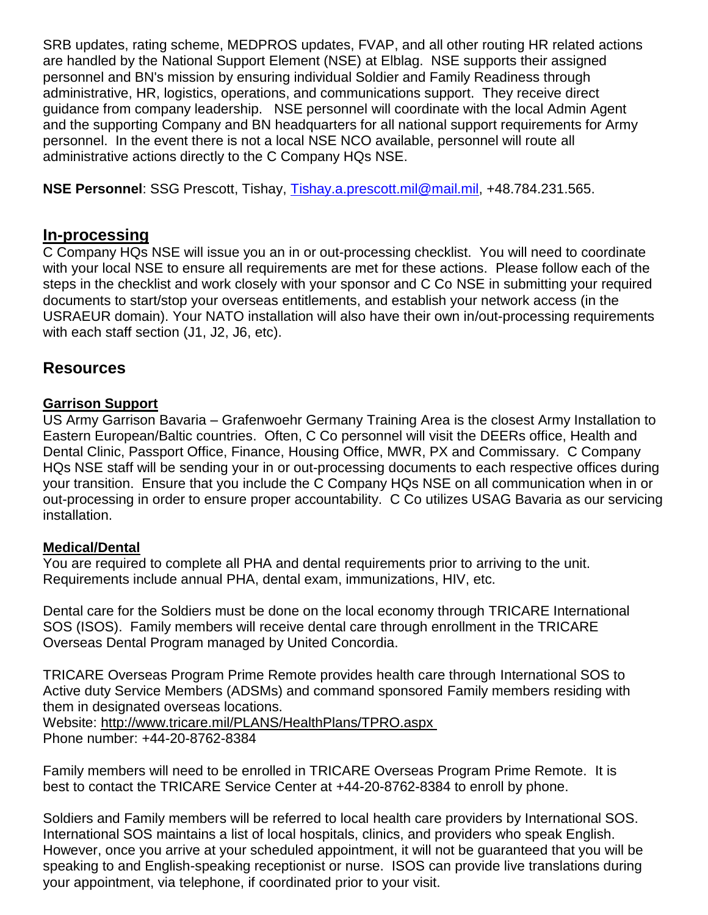SRB updates, rating scheme, MEDPROS updates, FVAP, and all other routing HR related actions are handled by the National Support Element (NSE) at Elblag. NSE supports their assigned personnel and BN's mission by ensuring individual Soldier and Family Readiness through administrative, HR, logistics, operations, and communications support. They receive direct guidance from company leadership. NSE personnel will coordinate with the local Admin Agent and the supporting Company and BN headquarters for all national support requirements for Army personnel. In the event there is not a local NSE NCO available, personnel will route all administrative actions directly to the C Company HQs NSE.

**NSE Personnel**: SSG Prescott, Tishay, [Tishay.a.prescott.mil@mail.mil,](mailto:Tishay.a.prescott.mil@mail.mil) +48.784.231.565.

#### **In-processing**

C Company HQs NSE will issue you an in or out-processing checklist. You will need to coordinate with your local NSE to ensure all requirements are met for these actions. Please follow each of the steps in the checklist and work closely with your sponsor and C Co NSE in submitting your required documents to start/stop your overseas entitlements, and establish your network access (in the USRAEUR domain). Your NATO installation will also have their own in/out-processing requirements with each staff section (J1, J2, J6, etc).

### **Resources**

#### **Garrison Support**

US Army Garrison Bavaria – Grafenwoehr Germany Training Area is the closest Army Installation to Eastern European/Baltic countries. Often, C Co personnel will visit the DEERs office, Health and Dental Clinic, Passport Office, Finance, Housing Office, MWR, PX and Commissary. C Company HQs NSE staff will be sending your in or out-processing documents to each respective offices during your transition. Ensure that you include the C Company HQs NSE on all communication when in or out-processing in order to ensure proper accountability. C Co utilizes USAG Bavaria as our servicing installation.

#### **Medical/Dental**

You are required to complete all PHA and dental requirements prior to arriving to the unit. Requirements include annual PHA, dental exam, immunizations, HIV, etc.

Dental care for the Soldiers must be done on the local economy through TRICARE International SOS (ISOS). Family members will receive dental care through enrollment in the TRICARE Overseas Dental Program managed by United Concordia.

TRICARE Overseas Program Prime Remote provides health care through International SOS to Active duty Service Members (ADSMs) and command sponsored Family members residing with them in designated overseas locations.

Website:<http://www.tricare.mil/PLANS/HealthPlans/TPRO.aspx>

Phone number: +44-20-8762-8384

Family members will need to be enrolled in TRICARE Overseas Program Prime Remote. It is best to contact the TRICARE Service Center at +44-20-8762-8384 to enroll by phone.

Soldiers and Family members will be referred to local health care providers by International SOS. International SOS maintains a list of local hospitals, clinics, and providers who speak English. However, once you arrive at your scheduled appointment, it will not be guaranteed that you will be speaking to and English-speaking receptionist or nurse. ISOS can provide live translations during your appointment, via telephone, if coordinated prior to your visit.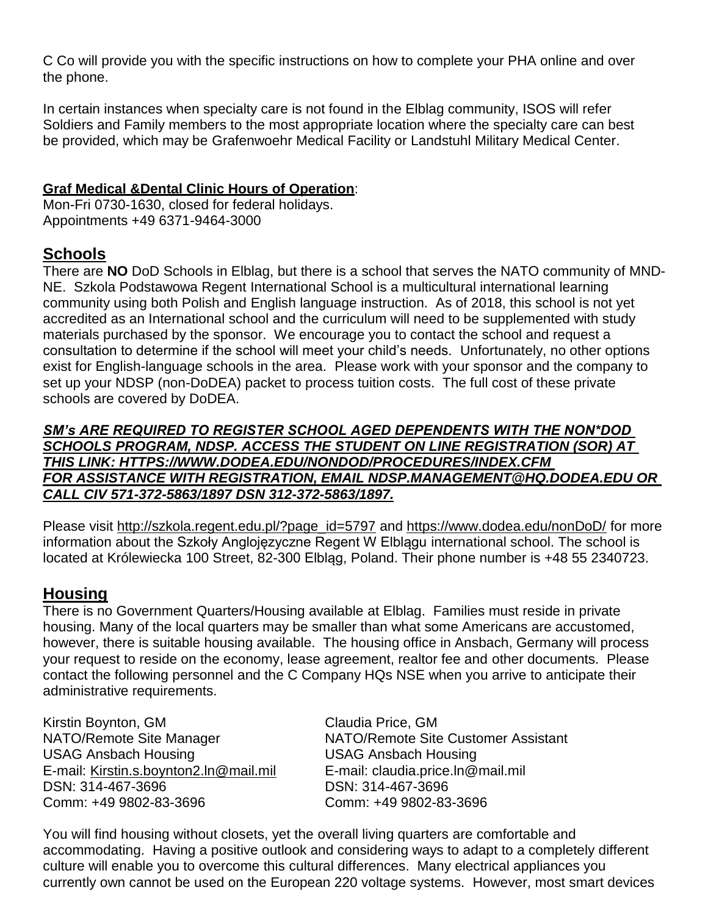C Co will provide you with the specific instructions on how to complete your PHA online and over the phone.

In certain instances when specialty care is not found in the Elblag community, ISOS will refer Soldiers and Family members to the most appropriate location where the specialty care can best be provided, which may be Grafenwoehr Medical Facility or Landstuhl Military Medical Center.

### **Graf Medical &Dental Clinic Hours of Operation**:

Mon-Fri 0730-1630, closed for federal holidays. Appointments +49 6371-9464-3000

# **Schools**

There are **NO** DoD Schools in Elblag, but there is a school that serves the NATO community of MND-NE. Szkola Podstawowa Regent International School is a multicultural international learning community using both Polish and English language instruction. As of 2018, this school is not yet accredited as an International school and the curriculum will need to be supplemented with study materials purchased by the sponsor. We encourage you to contact the school and request a consultation to determine if the school will meet your child's needs. Unfortunately, no other options exist for English-language schools in the area. Please work with your sponsor and the company to set up your NDSP (non-DoDEA) packet to process tuition costs. The full cost of these private schools are covered by DoDEA.

*SM's ARE REQUIRED TO REGISTER SCHOOL AGED DEPENDENTS WITH THE NON\*DOD SCHOOLS PROGRAM, NDSP. ACCESS THE STUDENT ON LINE REGISTRATION (SOR) AT THIS LINK: HTTPS://WWW.DODEA.EDU/NONDOD/PROCEDURES/INDEX.CFM FOR ASSISTANCE WITH REGISTRATION, EMAIL NDSP.MANAGEMENT@HQ.DODEA.EDU OR CALL CIV 571-372-5863/1897 DSN 312-372-5863/1897.*

Please visit [http://szkola.regent.edu.pl/?page\\_id=5797](http://szkola.regent.edu.pl/?page_id=5797) and<https://www.dodea.edu/nonDoD/> for more information about the Szkoły Anglojęzyczne Regent W Elblągu international school. The school is located at Królewiecka 100 Street, 82-300 Elbląg, Poland. Their phone number is +48 55 2340723.

# **Housing**

There is no Government Quarters/Housing available at Elblag. Families must reside in private housing. Many of the local quarters may be smaller than what some Americans are accustomed, however, there is suitable housing available. The housing office in Ansbach, Germany will process your request to reside on the economy, lease agreement, realtor fee and other documents. Please contact the following personnel and the C Company HQs NSE when you arrive to anticipate their administrative requirements.

Kirstin Boynton, GM Claudia Price, GM USAG Ansbach Housing USAG Ansbach Housing E-mail: [Kirstin.s.boynton2.ln@mail.mil](mailto:Kirstin.s.boynton2.ln@mail.mil) E-mail: claudia.price.ln@mail.mil DSN: 314-467-3696 DSN: 314-467-3696 Comm: +49 9802-83-3696 Comm: +49 9802-83-3696

NATO/Remote Site Manager NATO/Remote Site Customer Assistant

You will find housing without closets, yet the overall living quarters are comfortable and accommodating. Having a positive outlook and considering ways to adapt to a completely different culture will enable you to overcome this cultural differences. Many electrical appliances you currently own cannot be used on the European 220 voltage systems. However, most smart devices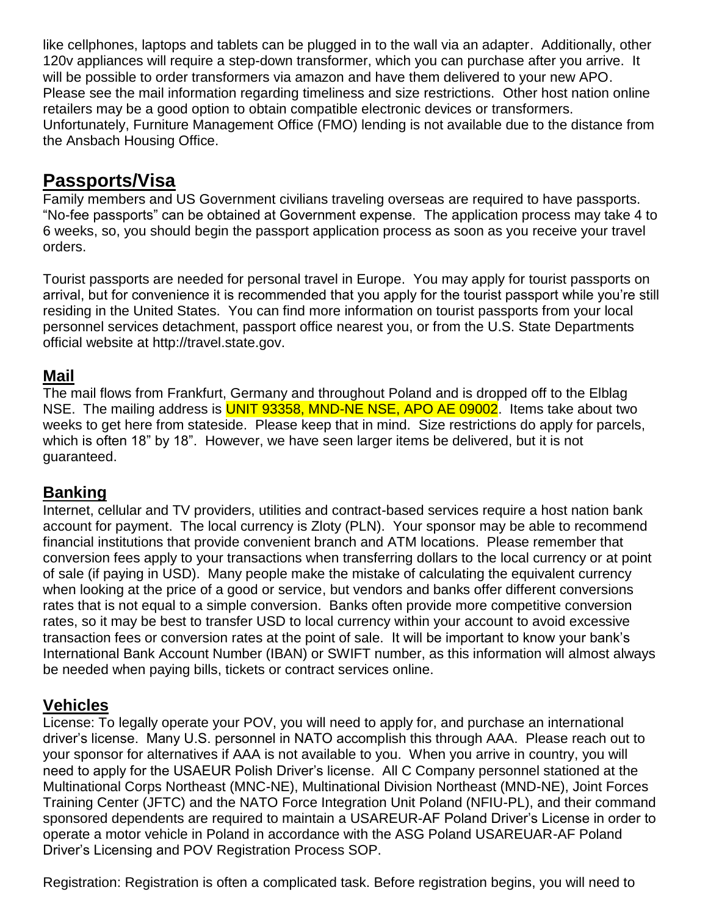like cellphones, laptops and tablets can be plugged in to the wall via an adapter. Additionally, other 120v appliances will require a step-down transformer, which you can purchase after you arrive. It will be possible to order transformers via amazon and have them delivered to your new APO. Please see the mail information regarding timeliness and size restrictions. Other host nation online retailers may be a good option to obtain compatible electronic devices or transformers. Unfortunately, Furniture Management Office (FMO) lending is not available due to the distance from the Ansbach Housing Office.

# **Passports/Visa**

Family members and US Government civilians traveling overseas are required to have passports. "No-fee passports" can be obtained at Government expense. The application process may take 4 to 6 weeks, so, you should begin the passport application process as soon as you receive your travel orders.

Tourist passports are needed for personal travel in Europe. You may apply for tourist passports on arrival, but for convenience it is recommended that you apply for the tourist passport while you're still residing in the United States. You can find more information on tourist passports from your local personnel services detachment, passport office nearest you, or from the U.S. State Departments official website at [http://travel.state.gov.](http://travel.state.gov/)

# **Mail**

The mail flows from Frankfurt, Germany and throughout Poland and is dropped off to the Elblag NSE. The mailing address is **UNIT 93358, MND-NE NSE, APO AE 09002**. Items take about two weeks to get here from stateside. Please keep that in mind. Size restrictions do apply for parcels, which is often 18" by 18". However, we have seen larger items be delivered, but it is not guaranteed.

### **Banking**

Internet, cellular and TV providers, utilities and contract-based services require a host nation bank account for payment. The local currency is Zloty (PLN). Your sponsor may be able to recommend financial institutions that provide convenient branch and ATM locations. Please remember that conversion fees apply to your transactions when transferring dollars to the local currency or at point of sale (if paying in USD). Many people make the mistake of calculating the equivalent currency when looking at the price of a good or service, but vendors and banks offer different conversions rates that is not equal to a simple conversion. Banks often provide more competitive conversion rates, so it may be best to transfer USD to local currency within your account to avoid excessive transaction fees or conversion rates at the point of sale. It will be important to know your bank's International Bank Account Number (IBAN) or SWIFT number, as this information will almost always be needed when paying bills, tickets or contract services online.

# **Vehicles**

License: To legally operate your POV, you will need to apply for, and purchase an international driver's license. Many U.S. personnel in NATO accomplish this through AAA. Please reach out to your sponsor for alternatives if AAA is not available to you. When you arrive in country, you will need to apply for the USAEUR Polish Driver's license. All C Company personnel stationed at the Multinational Corps Northeast (MNC-NE), Multinational Division Northeast (MND-NE), Joint Forces Training Center (JFTC) and the NATO Force Integration Unit Poland (NFIU-PL), and their command sponsored dependents are required to maintain a USAREUR-AF Poland Driver's License in order to operate a motor vehicle in Poland in accordance with the ASG Poland USAREUAR-AF Poland Driver's Licensing and POV Registration Process SOP.

Registration: Registration is often a complicated task. Before registration begins, you will need to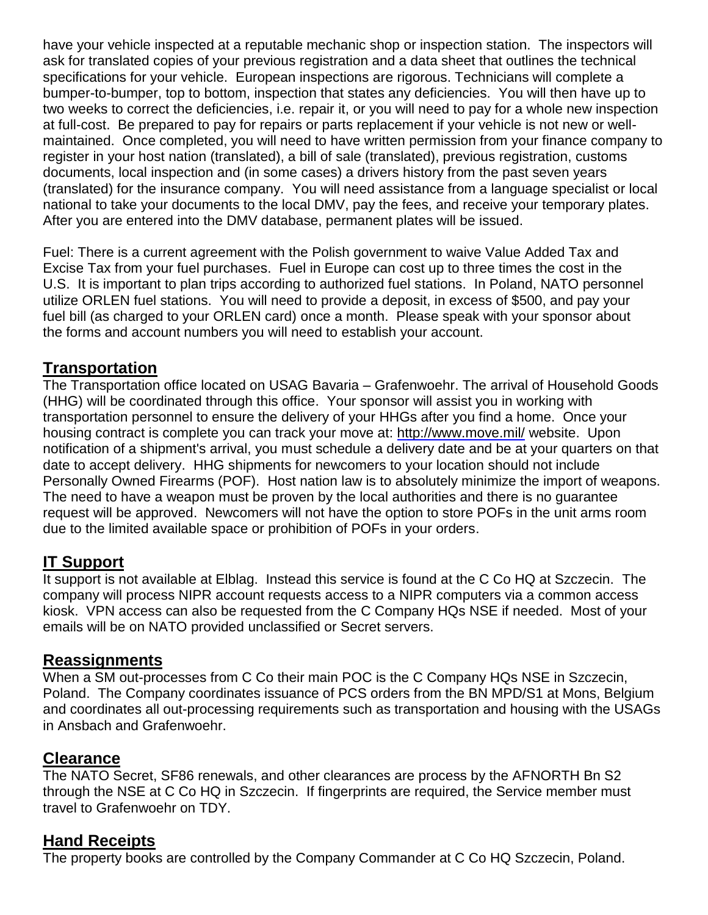have your vehicle inspected at a reputable mechanic shop or inspection station. The inspectors will ask for translated copies of your previous registration and a data sheet that outlines the technical specifications for your vehicle. European inspections are rigorous. Technicians will complete a bumper-to-bumper, top to bottom, inspection that states any deficiencies. You will then have up to two weeks to correct the deficiencies, i.e. repair it, or you will need to pay for a whole new inspection at full-cost. Be prepared to pay for repairs or parts replacement if your vehicle is not new or wellmaintained. Once completed, you will need to have written permission from your finance company to register in your host nation (translated), a bill of sale (translated), previous registration, customs documents, local inspection and (in some cases) a drivers history from the past seven years (translated) for the insurance company. You will need assistance from a language specialist or local national to take your documents to the local DMV, pay the fees, and receive your temporary plates. After you are entered into the DMV database, permanent plates will be issued.

Fuel: There is a current agreement with the Polish government to waive Value Added Tax and Excise Tax from your fuel purchases. Fuel in Europe can cost up to three times the cost in the U.S. It is important to plan trips according to authorized fuel stations. In Poland, NATO personnel utilize ORLEN fuel stations. You will need to provide a deposit, in excess of \$500, and pay your fuel bill (as charged to your ORLEN card) once a month. Please speak with your sponsor about the forms and account numbers you will need to establish your account.

### **Transportation**

The Transportation office located on USAG Bavaria – Grafenwoehr. The arrival of Household Goods (HHG) will be coordinated through this office. Your sponsor will assist you in working with transportation personnel to ensure the delivery of your HHGs after you find a home. Once your housing contract is complete you can track your move at:<http://www.move.mil/> website. Upon notification of a shipment's arrival, you must schedule a delivery date and be at your quarters on that date to accept delivery. HHG shipments for newcomers to your location should not include Personally Owned Firearms (POF). Host nation law is to absolutely minimize the import of weapons. The need to have a weapon must be proven by the local authorities and there is no guarantee request will be approved. Newcomers will not have the option to store POFs in the unit arms room due to the limited available space or prohibition of POFs in your orders.

### **IT Support**

It support is not available at Elblag. Instead this service is found at the C Co HQ at Szczecin. The company will process NIPR account requests access to a NIPR computers via a common access kiosk. VPN access can also be requested from the C Company HQs NSE if needed. Most of your emails will be on NATO provided unclassified or Secret servers.

### **Reassignments**

When a SM out-processes from C Co their main POC is the C Company HQs NSE in Szczecin, Poland. The Company coordinates issuance of PCS orders from the BN MPD/S1 at Mons, Belgium and coordinates all out-processing requirements such as transportation and housing with the USAGs in Ansbach and Grafenwoehr.

# **Clearance**

The NATO Secret, SF86 renewals, and other clearances are process by the AFNORTH Bn S2 through the NSE at C Co HQ in Szczecin. If fingerprints are required, the Service member must travel to Grafenwoehr on TDY.

### **Hand Receipts**

The property books are controlled by the Company Commander at C Co HQ Szczecin, Poland.